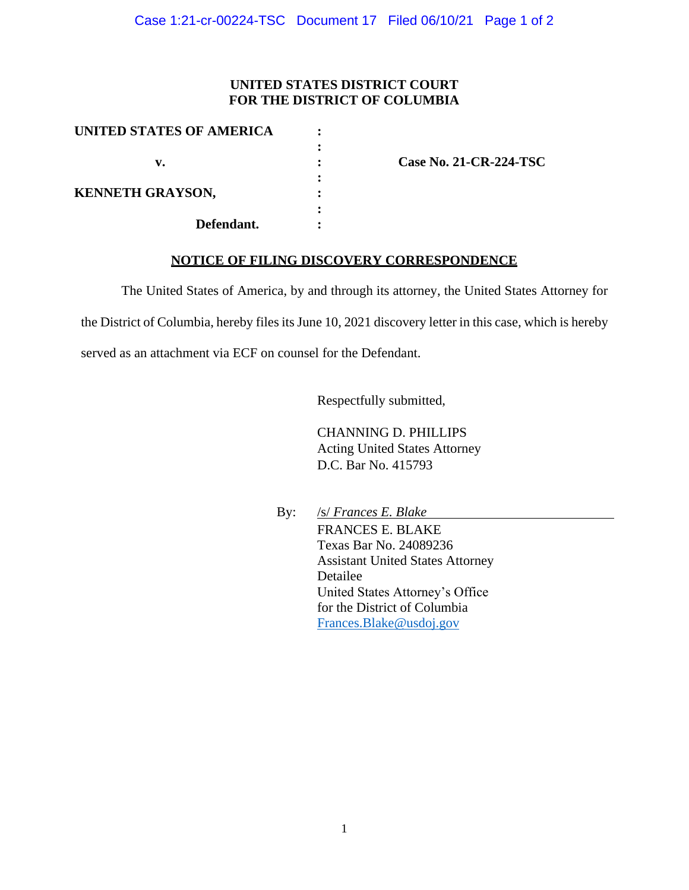## **UNITED STATES DISTRICT COURT FOR THE DISTRICT OF COLUMBIA**

| <b>UNITED STATES OF AMERICA</b>       |  |
|---------------------------------------|--|
|                                       |  |
| v.                                    |  |
|                                       |  |
| <b>KENNETH GRAYSON,</b><br>Defendant. |  |
|                                       |  |
|                                       |  |
|                                       |  |

**v. : Case No. 21-CR-224-TSC**

## **NOTICE OF FILING DISCOVERY CORRESPONDENCE**

The United States of America, by and through its attorney, the United States Attorney for

the District of Columbia, hereby files its June 10, 2021 discovery letter in this case, which is hereby

served as an attachment via ECF on counsel for the Defendant.

Respectfully submitted,

CHANNING D. PHILLIPS Acting United States Attorney D.C. Bar No. 415793

By: /s/ *Frances E. Blake* FRANCES E. BLAKE Texas Bar No. 24089236 Assistant United States Attorney Detailee United States Attorney's Office for the District of Columbia Frances.Blake@usdoj.gov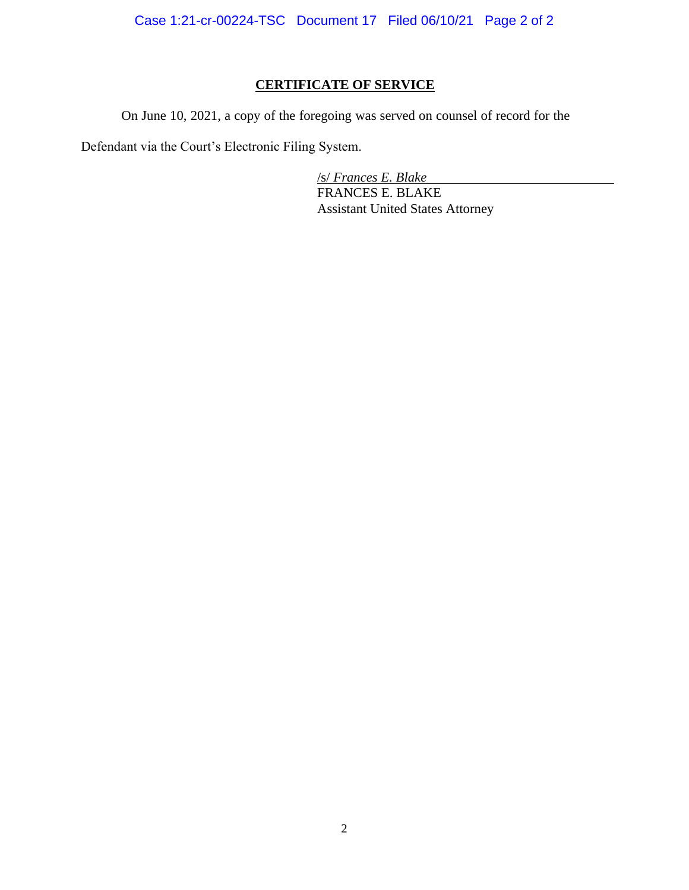Case 1:21-cr-00224-TSC Document 17 Filed 06/10/21 Page 2 of 2

## **CERTIFICATE OF SERVICE**

On June 10, 2021, a copy of the foregoing was served on counsel of record for the

Defendant via the Court's Electronic Filing System.

/s/ *Frances E. Blake* FRANCES E. BLAKE Assistant United States Attorney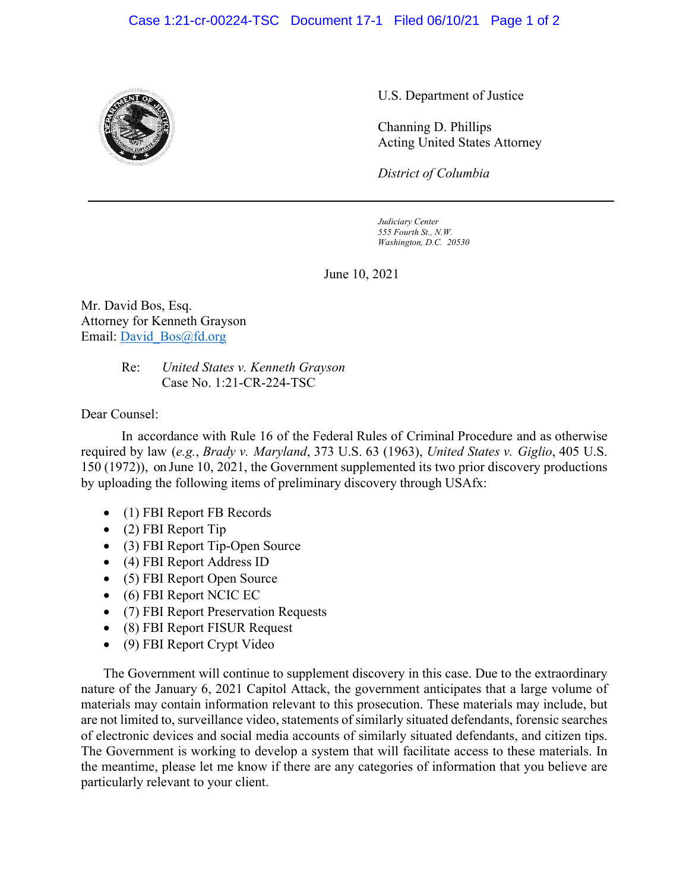## Case 1:21-cr-00224-TSC Document 17-1 Filed 06/10/21 Page 1 of 2



U.S. Department of Justice

Channing D. Phillips Acting United States Attorney

*District of Columbia*

*Judiciary Center 555 Fourth St., N.W. Washington, D.C. 20530*

June 10, 2021

Mr. David Bos, Esq. Attorney for Kenneth Grayson Email: David\_Bos@fd.org

> Re: *United States v. Kenneth Grayson* Case No. 1:21-CR-224-TSC

Dear Counsel:

In accordance with Rule 16 of the Federal Rules of Criminal Procedure and as otherwise required by law (*e.g.*, *Brady v. Maryland*, 373 U.S. 63 (1963), *United States v. Giglio*, 405 U.S. 150 (1972)), on June 10, 2021, the Government supplemented its two prior discovery productions by uploading the following items of preliminary discovery through USAfx:

- (1) FBI Report FB Records
- (2) FBI Report Tip
- (3) FBI Report Tip-Open Source
- (4) FBI Report Address ID
- (5) FBI Report Open Source
- (6) FBI Report NCIC EC
- (7) FBI Report Preservation Requests
- (8) FBI Report FISUR Request
- (9) FBI Report Crypt Video

The Government will continue to supplement discovery in this case. Due to the extraordinary nature of the January 6, 2021 Capitol Attack, the government anticipates that a large volume of materials may contain information relevant to this prosecution. These materials may include, but are not limited to, surveillance video, statements of similarly situated defendants, forensic searches of electronic devices and social media accounts of similarly situated defendants, and citizen tips. The Government is working to develop a system that will facilitate access to these materials. In the meantime, please let me know if there are any categories of information that you believe are particularly relevant to your client.